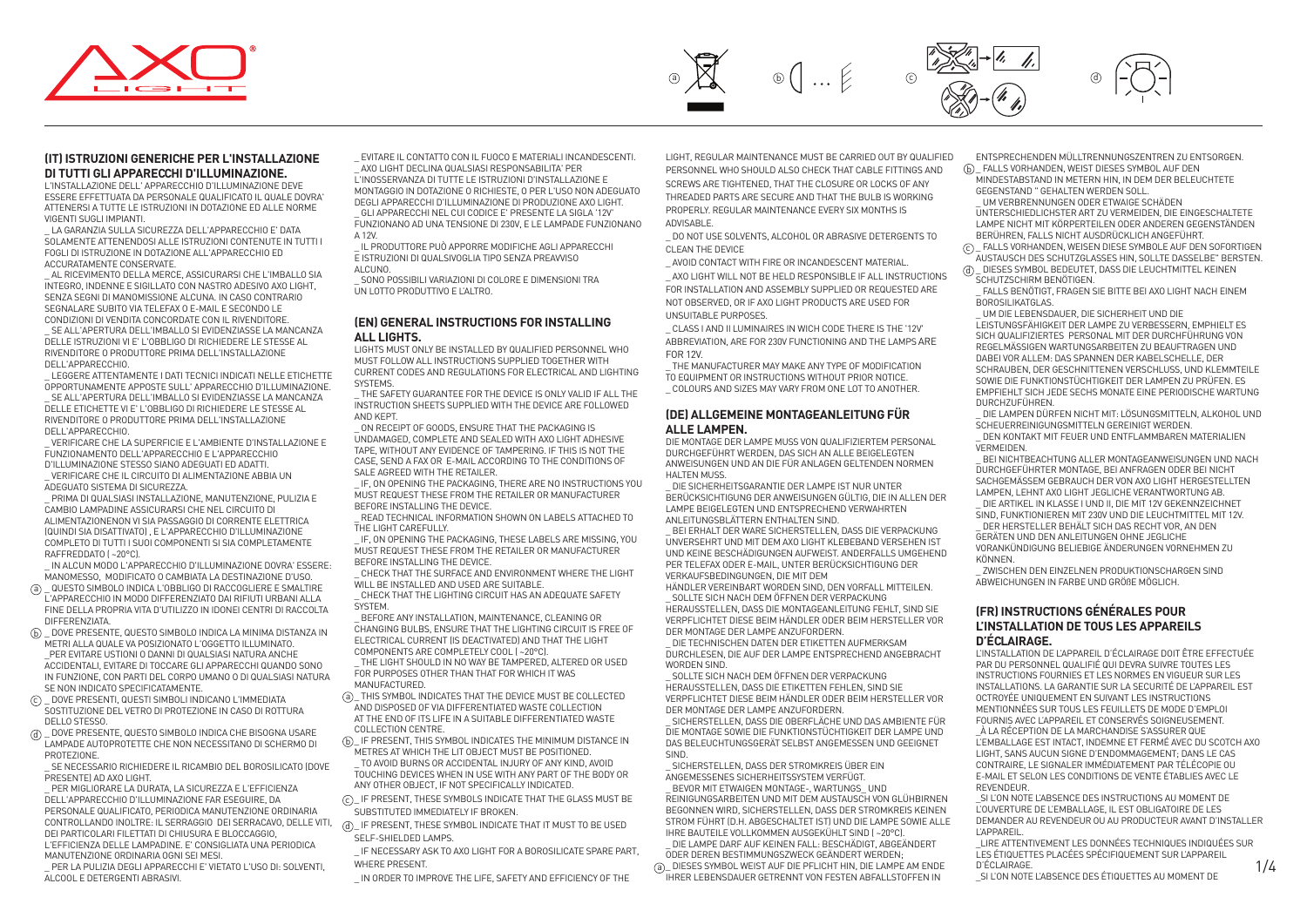



# **(IT) ISTRUZIONI GENERICHE PER L'INSTALLAZIONE DI TUTTI GLI APPARECCHI D'ILLUMINAZIONE.**

L'INSTALLAZIONE DELL' APPARECCHIO D'ILLUMINAZIONE DEVE ESSERE EFFETTUATA DA PERSONALE QUALIFICATO IL QUALE DOVRA' ATTENERSI A TUTTE LE ISTRUZIONI IN DOTAZIONE ED ALLE NORME VIGENTI SUGLI IMPIANTI.

LA GARANZIA SULLA SICUREZZA DELL'APPARECCHIO E' DATA SOLAMENTE ATTENENDOSI ALLE ISTRUZIONI CONTENUTE IN TUTTI I FOGLI DI ISTRUZIONE IN DOTAZIONE ALL'APPARECCHIO ED ACCURATAMENTE CONSERVATE.

\_ AL RICEVIMENTO DELLA MERCE, ASSICURARSI CHE L'IMBALLO SIA INTEGRO, INDENNE E SIGILLATO CON NASTRO ADESIVO AXO LIGHT, SENZA SEGNI DI MANOMISSIONE ALCUNA. IN CASO CONTRARIO SEGNALARE SUBITO VIA TELEFAX O E-MAIL E SECONDO LE CONDIZIONI DI VENDITA CONCORDATE CON IL RIVENDITORE. \_ SE ALL'APERTURA DELL'IMBALLO SI EVIDENZIASSE LA MANCANZA

DELLE ISTRUZIONI VI E' L'OBBLIGO DI RICHIEDERE LE STESSE AL RIVENDITORE O PRODUTTORE PRIMA DELL'INSTALLAZIONE DELL'APPARECCHIO.

\_ LEGGERE ATTENTAMENTE I DATI TECNICI INDICATI NELLE ETICHETTE OPPORTUNAMENTE APPOSTE SULL' APPARECCHIO D'ILLUMINAZIONE.

SE ALL'APERTURA DELL'IMBALLO SI EVIDENZIASSE LA MANCANZA DELLE ETICHETTE VI E' L'OBBLIGO DI RICHIEDERE LE STESSE AL RIVENDITORE O PRODUTTORE PRIMA DELL'INSTALLAZIONE DELL'APPARECCHIO.

\_ VERIFICARE CHE LA SUPERFICIE E L'AMBIENTE D'INSTALLAZIONE E FUNZIONAMENTO DELL'APPARECCHIO E L'APPARECCHIO D'ILLUMINAZIONE STESSO SIANO ADEGUATI ED ADATTI.

\_ VERIFICARE CHE IL CIRCUITO DI ALIMENTAZIONE ABBIA UN ADEGUATO SISTEMA DI SICUREZZA.

PRIMA DI QUALSIASI INSTALLAZIONE, MANUTENZIONE, PULIZIA E CAMBIO LAMPADINE ASSICURARSI CHE NEL CIRCUITO DI ALIMENTAZIONENON VI SIA PASSAGGIO DI CORRENTE ELETTRICA (QUINDI SIA DISATTIVATO) , E L'APPARECCHIO D'ILLUMINAZIONE COMPLETO DI TUTTI I SUOI COMPONENTI SI SIA COMPLETAMENTE RAFFREDDATO ( ~20°C).

\_ IN ALCUN MODO L'APPARECCHIO D'ILLUMINAZIONE DOVRA' ESSERE: MANOMESSO, MODIFICATO O CAMBIATA LA DESTINAZIONE D'USO.

a) \_ QUESTO SIMBOLO INDICA L'OBBLIGO DI RACCOGLIERE E SMALTIRE L'APPARECCHIO IN MODO DIFFERENZIATO DAI RIFIUTI URBANI ALLA FINE DELLA PROPRIA VITA D'UTILIZZO IN IDONEI CENTRI DI RACCOLTA DIFFERENZIATA.

(b) \_ DOVE PRESENTE, QUESTO SIMBOLO INDICA LA MINIMA DISTANZA IN METRI ALLA QUALE VA POSIZIONATO L'OGGETTO ILLUMINATO. PER EVITARE USTIONI O DANNI DI QUALSIASI NATURA ANCHE ACCIDENTALI, EVITARE DI TOCCARE GLI APPARECCHI QUANDO SONO IN FUNZIONE, CON PARTI DEL CORPO UMANO O DI QUALSIASI NATURA SE NON INDICATO SPECIFICATAMENTE.

- $\widehat{\epsilon}$   $\_$  DOVE PRESENTI, QUESTI SIMBOLI INDICANO L'IMMEDIATA SOSTITUZIONE DEL VETRO DI PROTEZIONE IN CASO DI ROTTURA DELLO STESSO
- $\left(\!\frac{\partial}{\partial t}\!\right)_\perp$ DOVE PRESENTE, QUESTO SIMBOLO INDICA CHE BISOGNA USARE LAMPADE AUTOPROTETTE CHE NON NECESSITANO DI SCHERMO DI **PROTEZIONE**

SE NECESSARIO RICHIEDERE IL RICAMBIO DEL BOROSILICATO (DOVE PRESENTE) AD AXO LIGHT.

\_ PER MIGLIORARE LA DURATA, LA SICUREZZA E L'EFFICIENZA DELL'APPARECCHIO D'ILLUMINAZIONE FAR ESEGUIRE, DA PERSONALE QUALIFICATO, PERIODICA MANUTENZIONE ORDINARIA CONTROLLANDO INOLTRE: IL SERRAGGIO DEI SERRACAVO, DELLE VITI, DEI PARTICOLARI FILETTATI DI CHIUSURA E BLOCCAGGIO, L'EFFICIENZA DELLE LAMPADINE. E' CONSIGLIATA UNA PERIODICA MANUTENZIONE ORDINARIA OGNI SEI MESI.

\_ PER LA PULIZIA DEGLI APPARECCHI E' VIETATO L'USO DI: SOLVENTI, ALCOOL E DETERGENTI ABRASIVI.

\_ EVITARE IL CONTATTO CON IL FUOCO E MATERIALI INCANDESCENTI. \_ AXO LIGHT DECLINA QUALSIASI RESPONSABILITA' PER L'INOSSERVANZA DI TUTTE LE ISTRUZIONI D'INSTALLAZIONE E

MONTAGGIO IN DOTAZIONE O RICHIESTE, O PER L'USO NON ADEGUATO DEGLI APPARECCHI D'ILLUMINAZIONE DI PRODUZIONE AXO LIGHT. \_ GLI APPARECCHI NEL CUI CODICE E' PRESENTE LA SIGLA '12V'

FUNZIONANO AD UNA TENSIONE DI 230V, E LE LAMPADE FUNZIONANO A 12V.

\_ IL PRODUTTORE PUÒ APPORRE MODIFICHE AGLI APPARECCHI E ISTRUZIONI DI QUALSIVOGLIA TIPO SENZA PREAVVISO ALCUNO.

\_ SONO POSSIBILI VARIAZIONI DI COLORE E DIMENSIONI TRA UN LOTTO PRODUTTIVO E L'ALTRO.

## **(EN) GENERAL INSTRUCTIONS FOR INSTALLING ALL LIGHTS.**

LIGHTS MUST ONLY BE INSTALLED BY QUALIFIED PERSONNEL WHO MUST FOLLOW ALL INSTRUCTIONS SUPPLIED TOGETHER WITH CURRENT CODES AND REGULATIONS FOR ELECTRICAL AND LIGHTING **SYSTEMS** 

THE SAFETY GUARANTEE FOR THE DEVICE IS ONLY VALID IF ALL THE INSTRUCTION SHEETS SUPPLIED WITH THE DEVICE ARE FOLLOWED AND KEPT.

\_ ON RECEIPT OF GOODS, ENSURE THAT THE PACKAGING IS UNDAMAGED, COMPLETE AND SEALED WITH AXO LIGHT ADHESIVE TAPE, WITHOUT ANY EVIDENCE OF TAMPERING. IF THIS IS NOT THE CASE, SEND A FAX OR E-MAIL ACCORDING TO THE CONDITIONS OF SALE AGREED WITH THE RETAILER.

\_ IF, ON OPENING THE PACKAGING, THERE ARE NO INSTRUCTIONS YOU MUST REQUEST THESE FROM THE RETAILER OR MANUFACTURER BEFORE INSTALLING THE DEVICE.

READ TECHNICAL INFORMATION SHOWN ON LABELS ATTACHED TO THE LIGHT CAREFULLY.

\_ IF, ON OPENING THE PACKAGING, THESE LABELS ARE MISSING, YOU MUST REQUEST THESE FROM THE RETAILER OR MANUFACTURER BEFORE INSTALLING THE DEVICE.

\_ CHECK THAT THE SURFACE AND ENVIRONMENT WHERE THE LIGHT WILL BE INSTALLED AND USED ARE SUITABLE.

\_ CHECK THAT THE LIGHTING CIRCUIT HAS AN ADEQUATE SAFETY **SYSTEM** 

BEFORE ANY INSTALLATION, MAINTENANCE, CLEANING OR CHANGING BULBS, ENSURE THAT THE LIGHTING CIRCUIT IS FREE OF ELECTRICAL CURRENT (IS DEACTIVATED) AND THAT THE LIGHT COMPONENTS ARE COMPLETELY COOL ( ~20°C).

THE LIGHT SHOULD IN NO WAY BE TAMPERED, ALTERED OR USED FOR PURPOSES OTHER THAN THAT FOR WHICH IT WAS MANUFACTURED.

- a)\_ THIS SYMBOL INDICATES THAT THE DEVICE MUST BE COLLECTED AND DISPOSED OF VIA DIFFERENTIATED WASTE COLLECTION AT THE END OF ITS LIFE IN A SUITABLE DIFFERENTIATED WASTE COLLECTION CENTRE.
- $\rm\acute{b})$  \_ IF PRESENT, THIS SYMBOL INDICATES THE MINIMUM DISTANCE IN METRES AT WHICH THE LIT OBJECT MUST BE POSITIONED.

\_ TO AVOID BURNS OR ACCIDENTAL INJURY OF ANY KIND, AVOID TOUCHING DEVICES WHEN IN USE WITH ANY PART OF THE BODY OR ANY OTHER OBJECT, IF NOT SPECIFICALLY INDICATED.

 $\rm \odot_{\rm =}$  IF PRESENT, THESE SYMBOLS INDICATE THAT THE GLASS MUST BE SUBSTITUTED IMMEDIATELY IF BROKEN.

 $\widehat{d}$   $\_$  IF PRESENT, THESE SYMBOL INDICATE THAT IT MUST TO BE USED SELF-SHIELDED LAMPS.

IF NECESSARY ASK TO AXO LIGHT FOR A BOROSILICATE SPARE PART.

WHERE PRESENT. IN ORDER TO IMPROVE THE LIFE, SAFETY AND EFFICIENCY OF THE

LIGHT, REGULAR MAINTENANCE MUST BE CARRIED OUT BY QUALIFIED PERSONNEL WHO SHOULD ALSO CHECK THAT CABLE FITTINGS AND SCREWS ARE TIGHTENED, THAT THE CLOSURE OR LOCKS OF ANY THREADED PARTS ARE SECURE AND THAT THE BULB IS WORKING PROPERLY. REGULAR MAINTENANCE EVERY SIX MONTHS IS ADVISABLE.

\_ DO NOT USE SOLVENTS, ALCOHOL OR ABRASIVE DETERGENTS TO CLEAN THE DEVICE

\_ AVOID CONTACT WITH FIRE OR INCANDESCENT MATERIAL.

AXO LIGHT WILL NOT BE HELD RESPONSIBLE IF ALL INSTRUCTIONS FOR INSTALLATION AND ASSEMBLY SUPPLIED OR REQUESTED ARE NOT OBSERVED, OR IF AXO LIGHT PRODUCTS ARE USED FOR UNSUITABLE PURPOSES.

\_ CLASS I AND II LUMINAIRES IN WICH CODE THERE IS THE '12V' ABBREVIATION, ARE FOR 230V FUNCTIONING AND THE LAMPS ARE FOR 12V.

THE MANUFACTURER MAY MAKE ANY TYPE OF MODIFICATION TO EQUIPMENT OR INSTRUCTIONS WITHOUT PRIOR NOTICE. \_ COLOURS AND SIZES MAY VARY FROM ONE LOT TO ANOTHER.

# **(DE) ALLGEMEINE MONTAGEANLEITUNG FÜR ALLE LAMPEN.**

DIE MONTAGE DER LAMPE MUSS VON QUALIFIZIERTEM PERSONAL DURCHGEFÜHRT WERDEN, DAS SICH AN ALLE BEIGELEGTEN ANWEISUNGEN UND AN DIE FÜR ANLAGEN GELTENDEN NORMEN HALTEN MUSS.

\_ DIE SICHERHEITSGARANTIE DER LAMPE IST NUR UNTER BERÜCKSICHTIGUNG DER ANWEISUNGEN GÜLTIG, DIE IN ALLEN DER LAMPE BEIGELEGTEN UND ENTSPRECHEND VERWAHRTEN ANLEITUNGSBLÄTTERN ENTHALTEN SIND.

BEI ERHALT DER WARE SICHERSTELLEN, DASS DIE VERPACKUNG UNVERSEHRT UND MIT DEM AXO LIGHT KLEBEBAND VERSEHEN IST UND KEINE BESCHÄDIGUNGEN AUFWEIST. ANDERFALLS UMGEHEND PER TELEFAX ODER E-MAIL, UNTER BERÜCKSICHTIGUNG DER VERKAUFSBEDINGUNGEN, DIE MIT DEM

HÄNDLER VEREINBART WORDEN SIND, DEN VORFALL MITTEILEN. SOLLTE SICH NACH DEM ÖFFNEN DER VERPACKUNG

HERAUSSTELLEN, DASS DIE MONTAGEANLEITUNG FEHLT, SIND SIE VERPFLICHTET DIESE BEIM HÄNDLER ODER BEIM HERSTELLER VOR DER MONTAGE DER LAMPE ANZUFORDERN.

\_ DIE TECHNISCHEN DATEN DER ETIKETTEN AUFMERKSAM DURCHLESEN, DIE AUF DER LAMPE ENTSPRECHEND ANGEBRACHT WORDEN SIND.

\_ SOLLTE SICH NACH DEM ÖFFNEN DER VERPACKUNG HERAUSSTELLEN, DASS DIE ETIKETTEN FEHLEN, SIND SIE VERPFLICHTET DIESE BEIM HÄNDLER ODER BEIM HERSTELLER VOR DER MONTAGE DER LAMPE ANZUFORDERN.

\_ SICHERSTELLEN, DASS DIE OBERFLÄCHE UND DAS AMBIENTE FÜR DIE MONTAGE SOWIE DIE FUNKTIONSTÜCHTIGKEIT DER LAMPE UND DAS BELEUCHTUNGSGERÄT SELBST ANGEMESSEN UND GEEIGNET SIND.

\_ SICHERSTELLEN, DASS DER STROMKREIS ÜBER EIN ANGEMESSENES SICHERHEITSSYSTEM VERFÜGT. BEVOR MIT ETWAIGEN MONTAGE-, WARTUNGS UND REINIGUNGSARBEITEN UND MIT DEM AUSTAUSCH VON GLÜHBIRNEN BEGONNEN WIRD, SICHERSTELLEN, DASS DER STROMKREIS KEINEN STROM FÜHRT (D.H. ABGESCHALTET IST) UND DIE LAMPE SOWIE ALLE IHRE BAUTEILE VOLLKOMMEN AUSGEKÜHLT SIND ( ~20°C). \_ DIE LAMPE DARF AUF KEINEN FALL: BESCHÄDIGT, ABGEÄNDERT ODER DEREN BESTIMMUNGSZWECK GEÄNDERT WERDEN;

a)\_ DIESES SYMBOL WEIST AUF DIE PFLICHT HIN, DIE LAMPE AM ENDE IHRER LEBENSDAUER GETRENNT VON FESTEN ABFALLSTOFFEN IN

ENTSPRECHENDEN MÜLLTRENNUNGSZENTREN ZU ENTSORGEN. \_ FALLS VORHANDEN, WEIST DIESES SYMBOL AUF DEN b

MINDESTABSTAND IN METERN HIN, IN DEM DER BELEUCHTETE GEGENSTAND " GEHALTEN WERDEN SOLL. \_ UM VERBRENNUNGEN ODER ETWAIGE SCHÄDEN

UNTERSCHIEDLICHSTER ART ZU VERMEIDEN, DIE EINGESCHALTETE LAMPE NICHT MIT KÖRPERTEILEN ODER ANDEREN GEGENSTÄNDEN BERÜHREN, FALLS NICHT AUSDRÜCKLICH ANGEFÜHRT.

 $_{\odot}\rule{0pt}{1.1ex}\rule{0pt}{1.5ex}$  FALLS VORHANDEN, WEISEN DIESE SYMBOLE AUF DEN SOFORTIGEN AUSTAUSCH DES SCHUTZGLASSES HIN, SOLLTE DASSELBE" BERSTEN. DIESES SYMBOL BEDEUTET, DASS DIE LEUCHTMITTEL KEINEN

SCHUTZSCHIRM BENÖTIGEN.  $\circledR$ 

\_ FALLS BENÖTIGT, FRAGEN SIE BITTE BEI AXO LIGHT NACH EINEM BOROSILIKATGLAS.

\_ UM DIE LEBENSDAUER, DIE SICHERHEIT UND DIE LEISTUNGSFÄHIGKEIT DER LAMPE ZU VERBESSERN, EMPHIELT ES SICH QUALIFIZIERTES PERSONAL MIT DER DURCHFÜHRUNG VON REGELMÄSSIGEN WARTUNGSARBEITEN ZU BEAUFTRAGEN UND DABEI VOR ALLEM: DAS SPANNEN DER KABELSCHELLE, DER SCHRAUBEN, DER GESCHNITTENEN VERSCHLUSS, UND KLEMMTEILE SOWIE DIE FUNKTIONSTÜCHTIGKEIT DER LAMPEN ZU PRÜFEN. ES EMPFIEHLT SICH JEDE SECHS MONATE EINE PERIODISCHE WARTUNG DURCHZUFÜHREN.

\_ DIE LAMPEN DÜRFEN NICHT MIT: LÖSUNGSMITTELN, ALKOHOL UND SCHEUERREINIGUNGSMITTELN GEREINIGT WERDEN. \_ DEN KONTAKT MIT FEUER UND ENTFLAMMBAREN MATERIALIEN VERMEIDEN.

BEI NICHTBEACHTUNG ALLER MONTAGEANWEISUNGEN UND NACH DURCHGEFÜHRTER MONTAGE, BEI ANFRAGEN ODER BEI NICHT SACHGEMÄSSEM GEBRAUCH DER VON AXO LIGHT HERGESTELLTEN LAMPEN, LEHNT AXO LIGHT JEGLICHE VERANTWORTUNG AB.

\_ DIE ARTIKEL IN KLASSE I UND II, DIE MIT 12V GEKENNZEICHNET SIND, FUNKTIONIEREN MIT 230V UND DIE LEUCHTMITTEL MIT 12V. \_ DER HERSTELLER BEHÄLT SICH DAS RECHT VOR, AN DEN GERÄTEN UND DEN ANLEITUNGEN OHNE JEGLICHE VORANKÜNDIGUNG BELIEBIGE ÄNDERUNGEN VORNEHMEN ZU

KÖNNEN. ZWISCHEN DEN EINZELNEN PRODUKTIONSCHARGEN SIND ABWEICHUNGEN IN FARBE UND GRÖßE MÖGLICH.

**(FR) INSTRUCTIONS GÉNÉRALES POUR L'INSTALLATION DE TOUS LES APPAREILS**

**D'ÉCLAIRAGE.**

L'INSTALLATION DE L'APPAREIL D'ÉCLAIRAGE DOIT ÊTRE EFFECTUÉE PAR DU PERSONNEL QUALIFIÉ QUI DEVRA SUIVRE TOUTES LES INSTRUCTIONS FOURNIES ET LES NORMES EN VIGUEUR SUR LES INSTALLATIONS. LA GARANTIE SUR LA SECURITÉ DE L'APPAREIL EST OCTROYÉE UNIQUEMENT EN SUIVANT LES INSTRUCTIONS MENTIONNÉES SUR TOUS LES FEUILLETS DE MODE D'EMPLOI FOURNIS AVEC L'APPAREIL ET CONSERVÉS SOIGNEUSEMENT. \_À LA RÉCEPTION DE LA MARCHANDISE S'ASSURER QUE L'EMBALLAGE EST INTACT, INDEMNE ET FERMÉ AVEC DU SCOTCH AXO LIGHT, SANS AUCUN SIGNE D'ENDOMMAGEMENT; DANS LE CAS CONTRAIRE, LE SIGNALER IMMÉDIATEMENT PAR TÉLÉCOPIE OU E-MAIL ET SELON LES CONDITIONS DE VENTE ÉTABLIES AVEC LE **REVENDEUR** 

\_SI L'ON NOTE L'ABSENCE DES INSTRUCTIONS AU MOMENT DE L'OUVERTURE DE L'EMBALLAGE, IL EST OBLIGATOIRE DE LES DEMANDER AU REVENDEUR OU AU PRODUCTEUR AVANT D'INSTALLER L'APPAREIL.

\_LIRE ATTENTIVEMENT LES DONNÉES TECHNIQUES INDIQUÉES SUR LES ÉTIQUETTES PLACÉES SPÉCIFIQUEMENT SUR L'APPAREIL D'ÉCLAIRAGE. 1/4

\_SI L'ON NOTE L'ABSENCE DES ÉTIQUETTES AU MOMENT DE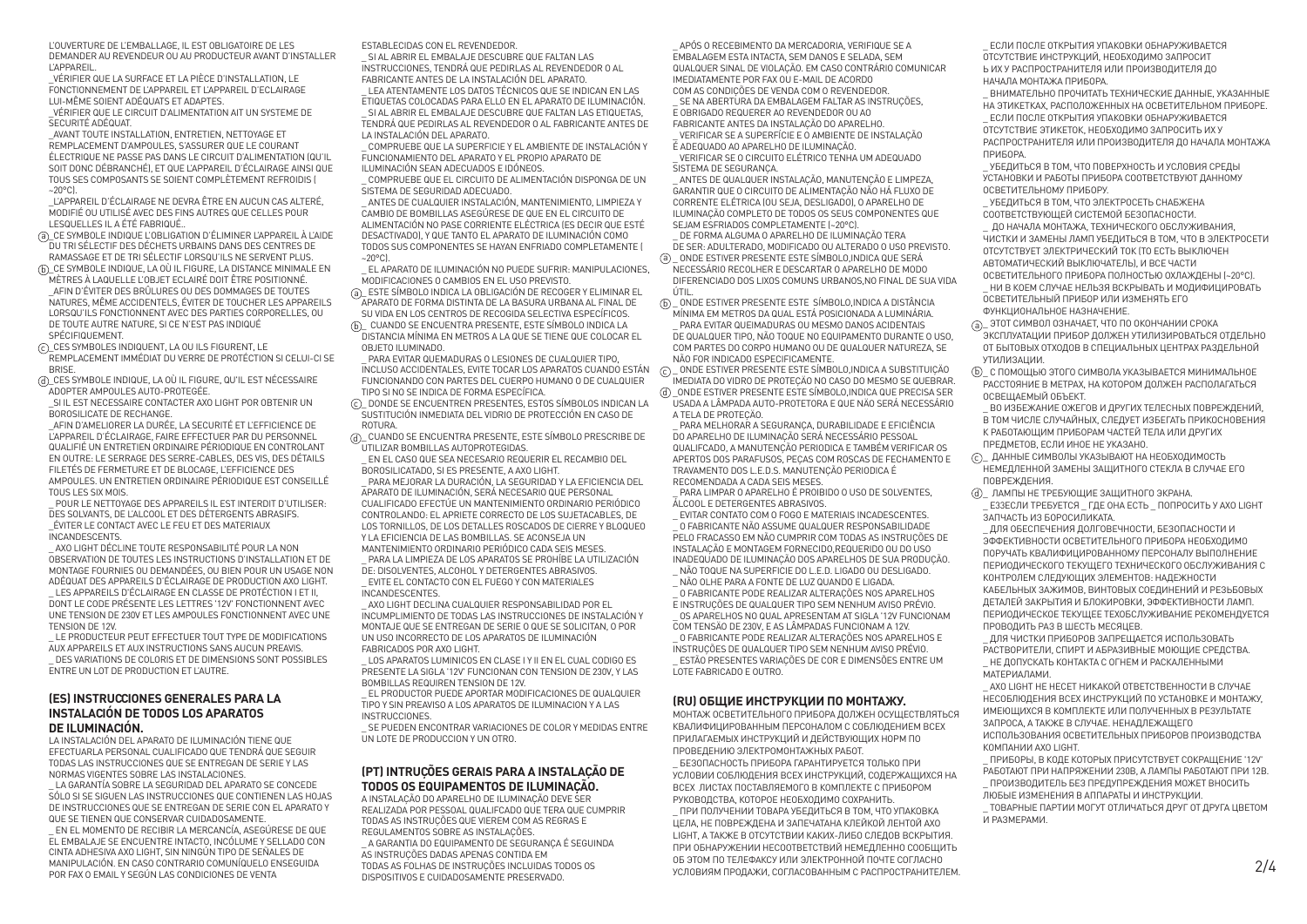L'OUVERTURE DE L'EMBALLAGE, IL EST OBLIGATOIRE DE LES DEMANDER AU REVENDEUR OU AU PRODUCTEUR AVANT D'INSTALLER L'APPAREIL.

\_VÉRIFIER QUE LA SURFACE ET LA PIÈCE D'INSTALLATION, LE FONCTIONNEMENT DE L'APPAREIL ET L'APPAREIL D'ECLAIRAGE LUI-MÊME SOIENT ADÉQUATS ET ADAPTES.

\_VÉRIFIER QUE LE CIRCUIT D'ALIMENTATION AIT UN SYSTEME DE SECURITÉ ADÉQUAT.

\_AVANT TOUTE INSTALLATION, ENTRETIEN, NETTOYAGE ET REMPLACEMENT D'AMPOULES, S'ASSURER QUE LE COURANT ÉLECTRIQUE NE PASSE PAS DANS LE CIRCUIT D'ALIMENTATION (QU'IL SOIT DONC DÉBRANCHÉ), ET QUE L'APPAREIL D'ÉCLAIRAGE AINSI QUE TOUS SES COMPOSANTS SE SOIENT COMPLÈTEMENT REFROIDIS (  $-20°C$ 

\_L'APPAREIL D'ÉCLAIRAGE NE DEVRA ÊTRE EN AUCUN CAS ALTERÉ, MODIFIÉ OU UTILISÉ AVEC DES FINS AUTRES QUE CELLES POUR LESQUELLES IL A ÉTÉ FABRIQUÉ..

a)\_CE SYMBOLE INDIQUE L'OBLIGATION D'ELIMINER L'APPAREIL A L'AIDE DU TRI SÉLECTIF DES DÉCHETS URBAINS DANS DES CENTRES DE RAMASSAGE ET DE TRI SÉLECTIF LORSQU'ILS NE SERVENT PLUS.

b)\_CE SYMBOLE INDIQUE, LA OU IL FIGURE, LA DISTANCE MINIMALE EN MÈTRES À LAQUELLE L'OBJET ECLAIRÉ DOIT ÊTRE POSITIONNÉ. \_AFIN D'ÉVITER DES BRÛLURES OU DES DOMMAGES DE TOUTES NATURES, MÊME ACCIDENTELS, ÉVITER DE TOUCHER LES APPAREILS LORSQU'ILS FONCTIONNENT AVEC DES PARTIES CORPORELLES, OU DE TOUTE AUTRE NATURE, SI CE N'EST PAS INDIQUÉ **SPÉCIFIQUEMENT** 

C)\_CES SYMBOLES INDIQUENT, LA OU ILS FIGURENT, LE REMPLACEMENT IMMÉDIAT DU VERRE DE PROTÉCTION SI CELUI-CI SE BRISE.

d)\_CES SYMBOLE INDIQUE, LA OU IL FIGURE, QU'IL EST NECESSAIRE ADOPTER AMPOULES AUTO-PROTEGÉE.

SI IL EST NECESSAIRE CONTACTER AXO LIGHT POR OBTENIR UN BOROSILICATE DE RECHANGE.

\_AFIN D'AMELIORER LA DURÉE, LA SECURITÉ ET L'EFFICIENCE DE L'APPAREIL D'ÉCLAIRAGE, FAIRE EFFECTUER PAR DU PERSONNEL QUALIFIÉ UN ENTRETIEN ORDINAIRE PÉRIODIQUE EN CONTROLANT EN OUTRE: LE SERRAGE DES SERRE-CABLES, DES VIS, DES DÉTAILS FILETÉS DE FERMETURE ET DE BLOCAGE, L'EFFICIENCE DES AMPOULES. UN ENTRETIEN ORDINAIRE PÉRIODIQUE EST CONSEILLÉ TOUS LES SIX MOIS.

POUR LE NETTOYAGE DES APPAREILS IL EST INTERDIT D'UTILISER: DES SOLVANTS, DE L'ALCOOL ET DES DÉTERGENTS ABRASIFS. \_ÉVITER LE CONTACT AVEC LE FEU ET DES MATERIAUX INCANDESCENTS.

AXO LIGHT DÉCLINE TOUTE RESPONSABILITÉ POUR LA NON OBSERVATION DE TOUTES LES INSTRUCTIONS D'INSTALLATION ET DE MONTAGE FOURNIES OU DEMANDÉES, OU BIEN POUR UN USAGE NON ADÉQUAT DES APPAREILS D'ÉCLAIRAGE DE PRODUCTION AXO LIGHT. \_ LES APPAREILS D'ÉCLAIRAGE EN CLASSE DE PROTÉCTION I ET II,

DONT LE CODE PRÉSENTE LES LETTRES '12V' FONCTIONNENT AVEC UNE TENSION DE 230V ET LES AMPOULES FONCTIONNENT AVEC UNE TENSION DE 12V.

LE PRODUCTEUR PEUT EFFECTUER TOUT TYPE DE MODIFICATIONS AUX APPAREILS ET AUX INSTRUCTIONS SANS AUCUN PREAVIS. \_ DES VARIATIONS DE COLORIS ET DE DIMENSIONS SONT POSSIBLES ENTRE UN LOT DE PRODUCTION ET L'AUTRE.

# **(ES) INSTRUCCIONES GENERALES PARA LA INSTALACIÓN DE TODOS LOS APARATOS DE ILUMINACIÓN.**

LA INSTALACIÓN DEL APARATO DE ILUMINACIÓN TIENE QUE EFECTUARLA PERSONAL CUALIFICADO QUE TENDRÁ QUE SEGUIR TODAS LAS INSTRUCCIONES QUE SE ENTREGAN DE SERIE Y LAS NORMAS VIGENTES SOBRE LAS INSTALACIONES.

\_ LA GARANTÍA SOBRE LA SEGURIDAD DEL APARATO SE CONCEDE SÓLO SI SE SIGUEN LAS INSTRUCCIONES QUE CONTIENEN LAS HOJAS DE INSTRUCCIONES QUE SE ENTREGAN DE SERIE CON EL APARATO Y QUE SE TIENEN QUE CONSERVAR CUIDADOSAMENTE.

\_ EN EL MOMENTO DE RECIBIR LA MERCANCÍA, ASEGÚRESE DE QUE EL EMBALAJE SE ENCUENTRE INTACTO, INCÓLUME Y SELLADO CON CINTA ADHESIVA AXO LIGHT, SIN NINGÚN TIPO DE SEÑALES DE MANIPULACIÓN. EN CASO CONTRARIO COMUNÍQUELO ENSEGUIDA POR FAX O EMAIL Y SEGÚN LAS CONDICIONES DE VENTA

ESTABLECIDAS CON EL REVENDEDOR.

SI AL ABRIR EL EMBALAJE DESCUBRE QUE FALTAN LAS INSTRUCCIONES, TENDRÁ QUE PEDIRLAS AL REVENDEDOR O AL FABRICANTE ANTES DE LA INSTALACIÓN DEL APARATO.

LEA ATENTAMENTE LOS DATOS TÉCNICOS QUE SE INDICAN EN LAS ETIQUETAS COLOCADAS PARA ELLO EN EL APARATO DE ILUMINACIÓN. SI AL ABRIR EL EMBALAJE DESCUBRE QUE FALTAN LAS ETIQUETAS. TENDRÁ QUE PEDIRLAS AL REVENDEDOR O AL FABRICANTE ANTES DE LA INSTALACIÓN DEL APARATO.

COMPRUEBE QUE LA SUPERFICIE Y EL AMBIENTE DE INSTALACIÓN Y FUNCIONAMIENTO DEL APARATO Y EL PROPIO APARATO DE ILUMINACIÓN SEAN ADECUADOS E IDÓNEOS.

\_ COMPRUEBE QUE EL CIRCUITO DE ALIMENTACIÓN DISPONGA DE UN SISTEMA DE SEGURIDAD ADECUADO.

\_ ANTES DE CUALQUIER INSTALACIÓN, MANTENIMIENTO, LIMPIEZA Y CAMBIO DE BOMBILLAS ASEGÚRESE DE QUE EN EL CIRCUITO DE ALIMENTACIÓN NO PASE CORRIENTE ELÉCTRICA (ES DECIR QUE ESTÉ DESACTIVADO), Y QUE TANTO EL APARATO DE ILUMINACIÓN COMO TODOS SUS COMPONENTES SE HAYAN ENFRIADO COMPLETAMENTE (  $-20^{\circ}$ Cl.

\_ EL APARATO DE ILUMINACIÓN NO PUEDE SUFRIR: MANIPULACIONES, MODIFICACIONES O CAMBIOS EN EL USO PREVISTO.

<u>@)\_</u> ESTE SÍMBOLO INDICA LA OBLIGACIÓN DE RECOGER Y ELIMINAR EL APARATO DE FORMA DISTINTA DE LA BASURA URBANA AL FINAL DE SU VIDA EN LOS CENTROS DE RECOGIDA SELECTIVA ESPECÍFICOS.

b)\_ CUANDO SE ENCUENTRA PRESENTE, ESTE SIMBOLO INDICA LA DISTANCIA MÍNIMA EN METROS A LA QUE SE TIENE QUE COLOCAR EL OBJETO ILUMINADO.

\_ PARA EVITAR QUEMADURAS O LESIONES DE CUALQUIER TIPO, INCLUSO ACCIDENTALES, EVITE TOCAR LOS APARATOS CUANDO ESTÁN FUNCIONANDO CON PARTES DEL CUERPO HUMANO O DE CUALQUIER TIPO SI NO SE INDICA DE FORMA ESPECÍFICA.

- c)\_ DONDE SE ENCUENTREN PRESENTES, ESTOS SÍMBOLOS INDICAN LA SUSTITUCIÓN INMEDIATA DEL VIDRIO DE PROTECCIÓN EN CASO DE ROTURA.
- @\_ CUANDO SE ENCUENTRA PRESENTE, ESTE SIMBOLO PRESCRIBE DE UTILIZAR BOMBILLAS AUTOPROTEGIDAS.

\_ EN EL CASO QUE SEA NECESARIO REQUERIR EL RECAMBIO DEL BOROSILICATADO, SI ES PRESENTE, A AXO LIGHT.

\_ PARA MEJORAR LA DURACIÓN, LA SEGURIDAD Y LA EFICIENCIA DEL APARATO DE ILUMINACIÓN, SERÁ NECESARIO QUE PERSONAL CUALIFICADO EFECTÚE UN MANTENIMIENTO ORDINARIO PERIÓDICO CONTROLANDO: EL APRIETE CORRECTO DE LOS SUJETACABLES, DE LOS TORNILLOS, DE LOS DETALLES ROSCADOS DE CIERRE Y BLOQUEO Y LA EFICIENCIA DE LAS BOMBILLAS. SE ACONSEJA UN MANTENIMIENTO ORDINARIO PERIÓDICO CADA SEIS MESES. \_ PARA LA LIMPIEZA DE LOS APARATOS SE PROHÍBE LA UTILIZACIÓN

DE: DISOLVENTES, ALCOHOL Y DETERGENTES ABRASIVOS.

\_ EVITE EL CONTACTO CON EL FUEGO Y CON MATERIALES INCANDESCENTES.

\_ AXO LIGHT DECLINA CUALQUIER RESPONSABILIDAD POR EL INCUMPLIMIENTO DE TODAS LAS INSTRUCCIONES DE INSTALACIÓN Y MONTAJE QUE SE ENTREGAN DE SERIE O QUE SE SOLICITAN, O POR UN USO INCORRECTO DE LOS APARATOS DE ILUMINACIÓN FABRICADOS POR AXO LIGHT.

\_ LOS APARATOS LUMINICOS EN CLASE I Y II EN EL CUAL CODIGO ES PRESENTE LA SIGLA '12V' FUNCIONAN CON TENSION DE 230V, Y LAS BOMBILLAS REQUIREN TENSION DE 12V.

\_ EL PRODUCTOR PUEDE APORTAR MODIFICACIONES DE QUALQUIER TIPO Y SIN PREAVISO A LOS APARATOS DE ILUMINACION Y A LAS **INSTRUCCIONES** 

\_ SE PUEDEN ENCONTRAR VARIACIONES DE COLOR Y MEDIDAS ENTRE UN LOTE DE PRODUCCION Y UN OTRO.

# **(PT) INTRUÇÕES GERAIS PARA A INSTALAÇÃO DE TODOS OS EQUIPAMENTOS DE ILUMINAÇÃO.**

A INSTALAÇÃO DO APARELHO DE ILUMINAÇÃO DEVE SER REALIZADA POR PESSOAL QUALIFCADO QUE TERA QUE CUMPRIR TODAS AS INSTRUÇÕES QUE VIEREM COM AS REGRAS E REGULAMENTOS SOBRE AS INSTALAÇÕES.

A GARANTIA DO EQUIPAMENTO DE SEGURANCA É SEGUINDA AS INSTRUÇÕES DADAS APENAS CONTIDA EM TODAS AS FOLHAS DE INSTRUÇÕES INCLUIDAS TODOS OS DISPOSITIVOS E CUIDADOSAMENTE PRESERVADO.

\_ APÓS O RECEBIMENTO DA MERCADORIA, VERIFIQUE SE A EMBALAGEM ESTA INTACTA, SEM DANOS E SELADA, SEM QUALQUER SINAL DE VIOLAÇÃO. EM CASO CONTRÁRIO COMUNICAR IMEDIATAMENTE POR FAX OU E-MAIL DE ACORDO COM AS CONDIÇÕES DE VENDA COM O REVENDEDOR. SE NA ABERTURA DA EMBALAGEM FALTAR AS INSTRUÇÕES. E OBRIGADO REQUERER AO REVENDEDOR OU AO FABRICANTE ANTES DA INSTALAÇÃO DO APARELHO. \_ VERIFICAR SE A SUPERFÍCIE E O AMBIENTE DE INSTALAÇÃO

É ADEQUADO AO APARELHO DE ILUMINAÇÃO. \_ VERIFICAR SE O CIRCUITO ELÉTRICO TENHA UM ADEQUADO

SISTEMA DE SEGURANÇA. \_ ANTES DE QUALQUER INSTALAÇÃO, MANUTENÇÃO E LIMPEZA,

GARANTIR QUE O CIRCUITO DE ALIMENTAÇÃO NÃO HÁ FLUXO DE CORRENTE ELÉTRICA (OU SEJA, DESLIGADO), O APARELHO DE ILUMINAÇÃO COMPLETO DE TODOS OS SEUS COMPONENTES QUE SEJAM ESFRIADOS COMPLETAMENTE (~20°C).

## \_ DE FORMA ALGUMA O APARELHO DE ILUMINAÇÃO TERA DE SER: ADULTERADO, MODIFICADO OU ALTERADO O USO PREVISTO.

a) \_ ONDE ESTIVER PRESENTE ESTE SÍMBOLO,INDICA QUE SERA NECESSÁRIO RECOLHER E DESCARTAR O APARELHO DE MODO DIFERENCIADO DOS LIXOS COMUNS URBANOS,NO FINAL DE SUA VIDA ÚTIL.

b) \_ ONDE ESTIVER PRESENTE ESTE SIMBOLO,INDICA A DISTANCIA MÍNIMA EM METROS DA QUAL ESTÁ POSICIONADA A LUMINÁRIA. PARA EVITAR QUEIMADURAS OU MESMO DANOS ACIDENTAIS DE QUALQUER TIPO, NÃO TOQUE NO EQUIPAMENTO DURANTE O USO, COM PARTES DO CORPO HUMANO OU DE QUALQUER NATUREZA, SE NÃO FOR INDICADO ESPECIFICAMENTE.

 $_{\odot}\_$ onde estiver presente este simbolo,indica a substituição IMEDIATA DO VIDRO DE PROTEÇÄO NO CASO DO MESMO SE QUEBRAR.

\_ONDE ESTIVER PRESENTE ESTE SÍMBOLO,INDICA QUE PRECISA SER d USADA A LÂMPADA AUTO-PROTETORA E QUE NÄO SERÁ NECESSÁRIO A TELA DE PROTEÇÄO.

PARA MELHORAR A SEGURANCA, DURABILIDADE E EFICIÊNCIA DO APARELHO DE ILUMINAÇÃO SERÁ NECESSÁRIO PESSOAL QUALIFCADO, A MANUTENÇÃO PERIODICA E TAMBÉM VERIFICAR OS APERTOS DOS PARAFUSOS, PEÇAS COM ROSCAS DE FECHAMENTO E TRAVAMENTO DOS L.E.D.S. MANUTENÇÃO PERIODICA É RECOMENDADA A CADA SEIS MESES.

PARA LIMPAR O APARELHO É PROIBIDO O USO DE SOLVENTES. ÁLCOOL E DETERGENTES ABRASIVOS.

\_ EVITAR CONTATO COM O FOGO E MATERIAIS INCADESCENTES. .<br>O FABRICANTE NÃO ASSUME QUALQUER RESPONSABILIDADE PELO FRACASSO EM NÃO CUMPRIR COM TODAS AS INSTRUÇÕES DE INSTALAÇÃO E MONTAGEM FORNECIDO,REQUERIDO OU DO USO INADEQUADO DE ILUMINAÇÃO DOS APARELHOS DE SUA PRODUÇÃO. \_ NÃO TOQUE NA SUPERFICIE DO L.E.D. LIGADO OU DESLIGADO.

.<br>NÃO OLHE PARA A FONTE DE LUZ QUANDO E LIGADA. \_ O FABRICANTE PODE REALIZAR ALTERAÇÕES NOS APARELHOS E INSTRUÇÕES DE QUALQUER TIPO SEM NENHUM AVISO PRÉVIO. OS APARELHOS NO QUAL APRESENTAM AT SIGLA '12V FUNCIONAM COM TENSÄO DE 230V, E AS LÂMPADAS FUNCIONAM A 12V. \_ O FABRICANTE PODE REALIZAR ALTERAÇÕES NOS APARELHOS E INSTRUÇÕES DE QUALQUER TIPO SEM NENHUM AVISO PRÉVIO.

\_ ESTÃO PRESENTES VARIAÇÕES DE COR E DIMENSÕES ENTRE UM LOTE FABRICADO E OUTRO.

#### **(RU) ОБЩИЕ ИНСТРУКЦИИ ПО МОНТАЖУ.**

МОНТАЖ ОСВЕТИТЕЛЬНОГО ПРИБОРА ДОЛЖЕН ОСУЩЕСТВЛЯТЬСЯ КВАЛИФИЦИРОВАННЫМ ПЕРСОНАЛОМ С СОБЛЮДЕНИЕМ ВСЕХ ПРИЛАГАЕМЫХ ИНСТРУКЦИЙ И ДЕЙСТВУЮЩИХ НОРМ ПО ПРОВЕДЕНИЮ ЭЛЕКТРОМОНТАЖНЫХ РАБОТ.

\_ БЕЗОПАСНОСТЬ ПРИБОРА ГАРАНТИРУЕТСЯ ТОЛЬКО ПРИ УСЛОВИИ СОБЛЮДЕНИЯ ВСЕХ ИНСТРУКЦИЙ, СОДЕРЖАЩИХСЯ НА ВСЕХ ЛИСТАХ ПОСТАВЛЯЕМОГО В КОМПЛЕКТЕ С ПРИБОРОМ РУКОВОДСТВА, КОТОРОЕ НЕОБХОДИМО СОХРАНИТЬ.

\_ ПРИ ПОЛУЧЕНИИ ТОВАРА УБЕДИТЬСЯ В ТОМ, ЧТО УПАКОВКА ЦЕЛА, НЕ ПОВРЕЖДЕНА И ЗАПЕЧАТАНА КЛЕЙКОЙ ЛЕНТОЙ AXO LIGHT, А ТАКЖЕ В ОТСУТСТВИИ КАКИХ-ЛИБО СЛЕДОВ ВСКРЫТИЯ. ПРИ ОБНАРУЖЕНИИ НЕСООТВЕТСТВИЙ НЕМЕДЛЕННО СООБЩИТЬ ОБ ЭТОМ ПО ТЕЛЕФАКСУ ИЛИ ЭЛЕКТРОННОЙ ПОЧТЕ СОГЛАСНО УСЛОВИЯМ ПРОДАЖИ, СОГЛАСОВАННЫМ С РАСПРОСТРАНИТЕЛЕМ.

\_ ЕСЛИ ПОСЛЕ ОТКРЫТИЯ УПАКОВКИ ОБНАРУЖИВАЕТСЯ ОТСУТСТВИЕ ИНСТРУКЦИЙ, НЕОБХОДИМО ЗАПРОСИТ Ь ИХ У РАСПРОСТРАНИТЕЛЯ ИЛИ ПРОИЗВОДИТЕЛЯ ДО НАЧАЛА МОНТАЖА ПРИБОРА.

\_ ВНИМАТЕЛЬНО ПРОЧИТАТЬ ТЕХНИЧЕСКИЕ ДАННЫЕ, УКАЗАННЫЕ НА ЭТИКЕТКАХ, РАСПОЛОЖЕННЫХ НА ОСВЕТИТЕЛЬНОМ ПРИБОРЕ.

\_ ЕСЛИ ПОСЛЕ ОТКРЫТИЯ УПАКОВКИ ОБНАРУЖИВАЕТСЯ ОТСУТСТВИЕ ЭТИКЕТОК, НЕОБХОДИМО ЗАПРОСИТЬ ИХ У РАСПРОСТРАНИТЕЛЯ ИЛИ ПРОИЗВОДИТЕЛЯ ДО НАЧАЛА МОНТАЖА ПРИБОРА.

УБЕЛИТЬСЯ В ТОМ, ЧТО ПОВЕРХНОСТЬ И УСЛОВИЯ СРЕЛЫ УСТАНОВКИ И РАБОТЫ ПРИБОРА СООТВЕТСТВУЮТ ДАННОМУ ОСВЕТИТЕЛЬНОМУ ПРИБОРУ.

\_ УБЕДИТЬСЯ В ТОМ, ЧТО ЭЛЕКТРОСЕТЬ СНАБЖЕНА СООТВЕТСТВУЮЩЕЙ СИСТЕМОЙ БЕЗОПАСНОСТИ.

ДО НАЧАЛА МОНТАЖА, ТЕХНИЧЕСКОГО ОБСЛУЖИВАНИЯ, ЧИСТКИ И ЗАМЕНЫ ЛАМП УБЕДИТЬСЯ В ТОМ, ЧТО В ЭЛЕКТРОСЕТИ ОТСУТСТВУЕТ ЭЛЕКТРИЧЕСКИЙ ТОК (ТО ЕСТЬ ВЫКЛЮЧЕН АВТОМАТИЧЕСКИЙ ВЫКЛЮЧАТЕЛЬ), И ВСЕ ЧАСТИ

ОСВЕТИТЕЛЬНОГО ПРИБОРА ПОЛНОСТЬЮ ОХЛАЖДЕНЫ (~20°C). НИ В КОЕМ СЛУЧАЕ НЕЛЬЗЯ ВСКРЫВАТЬ И МОЛИФИЦИРОВАТЬ ОСВЕТИТЕЛЬНЫЙ ПРИБОР ИЛИ ИЗМЕНЯТЬ ЕГО

ФУНКЦИОНАЛЬНОЕ НАЗНАЧЕНИЕ.

@)\_ ЭТОТ СИМВОЛ ОЗНАЧАЕТ, ЧТО ПО ОКОНЧАНИИ СРОКА ЭКСПЛУАТАЦИИ ПРИБОР ДОЛЖЕН УТИЛИЗИРОВАТЬСЯ ОТДЕЛЬНО ОТ БЫТОВЫХ ОТХОДОВ В СПЕЦИАЛЬНЫХ ЦЕНТРАХ РАЗДЕЛЬНОЙ УТИЛИЗАЦИИ.

b)\_ С ПОМОЩЬЮ ЭТОГО СИМВОЛА УКАЗЫВАЕТСЯ МИНИМАЛЬНОЕ РАССТОЯНИЕ В МЕТРАХ, НА КОТОРОМ ДОЛЖЕН РАСПОЛАГАТЬСЯ ОСВЕЩАЕМЫЙ ОБЪЕКТ.

ВО ИЗБЕЖАНИЕ ОЖЕГОВ И ДРУГИХ ТЕЛЕСНЫХ ПОВРЕЖДЕНИЙ, В ТОМ ЧИСЛЕ СЛУЧАЙНЫХ, СЛЕДУЕТ ИЗБЕГАТЬ ПРИКОСНОВЕНИЯ К РАБОТАЮЩИМ ПРИБОРАМ ЧАСТЕЙ ТЕЛА ИЛИ ДРУГИХ ПРЕДМЕТОВ, ЕСЛИ ИНОЕ НЕ УКАЗАНО.

 $_{\odot}\text{ }_{\odot}\text{ }$  ДАННЫЕ СИМВОЛЫ УКАЗЫВАЮТ НА НЕОБХОДИМОСТЬ НЕМЕДЛЕННОЙ ЗАМЕНЫ ЗАЩИТНОГО СТЕКЛА В СЛУЧАЕ ЕГО ПОВРЕЖДЕНИЯ.

(d)\_ ЛАМПЫ НЕ ТРЕБУЮЩИЕ ЗАЩИТНОГО ЭКРАНА. ЕЗЗЕСЛИ ТРЕБУЕТСЯ ГДЕ ОНА ЕСТЬ ПОПРОСИТЬ У АХО LIGHT ЗАПЧАСТЬ ИЗ БОРОСИЛИКАТА.

ДЛЯ ОБЕСПЕЧЕНИЯ ДОЛГОВЕЧНОСТИ, БЕЗОПАСНОСТИ И ЭФФЕКТИВНОСТИ ОСВЕТИТЕЛЬНОГО ПРИБОРА НЕОБХОДИМО ПОРУЧАТЬ КВАЛИФИЦИРОВАННОМУ ПЕРСОНАЛУ ВЫПОЛНЕНИЕ ПЕРИОДИЧЕСКОГО ТЕКУЩЕГО ТЕХНИЧЕСКОГО ОБСЛУЖИВАНИЯ С КОНТРОЛЕМ СЛЕДУЮЩИХ ЭЛЕМЕНТОВ: НАДЕЖНОСТИ КАБЕЛЬНЫХ ЗАЖИМОВ, ВИНТОВЫХ СОЕДИНЕНИЙ И РЕЗЬБОВЫХ ДЕТАЛЕЙ ЗАКРЫТИЯ И БЛОКИРОВКИ, ЭФФЕКТИВНОСТИ ЛАМП. ПЕРИОДИЧЕСКОЕ ТЕКУЩЕЕ ТЕХОБСЛУЖИВАНИЕ РЕКОМЕНДУЕТСЯ ПРОВОДИТЬ РАЗ В ШЕСТЬ МЕСЯЦЕВ.

\_ ДЛЯ ЧИСТКИ ПРИБОРОВ ЗАПРЕЩАЕТСЯ ИСПОЛЬЗОВАТЬ РАСТВОРИТЕЛИ, СПИРТ И АБРАЗИВНЫЕ МОЮЩИЕ СРЕДСТВА. \_ НЕ ДОПУСКАТЬ КОНТАКТА С ОГНЕМ И РАСКАЛЕННЫМИ МАТЕРИАЛАМИ.

\_ AXO LIGHT НЕ НЕСЕТ НИКАКОЙ ОТВЕТСТВЕННОСТИ В СЛУЧАЕ НЕСОБЛЮДЕНИЯ ВСЕХ ИНСТРУКЦИЙ ПО УСТАНОВКЕ И МОНТАЖУ, ИМЕЮЩИХСЯ В КОМПЛЕКТЕ ИЛИ ПОЛУЧЕННЫХ В РЕЗУЛЬТАТЕ ЗАПРОСА, А ТАКЖЕ В СЛУЧАЕ. НЕНАДЛЕЖАЩЕГО ИСПОЛЬЗОВАНИЯ ОСВЕТИТЕЛЬНЫХ ПРИБОРОВ ПРОИЗВОДСТВА КОМПАНИИ AXO LIGHT.

\_ ПРИБОРЫ, В КОДЕ КОТОРЫХ ПРИСУТСТВУЕТ СОКРАЩЕНИЕ '12V' РАБОТАЮТ ПРИ НАПРЯЖЕНИИ 230В, А ЛАМПЫ РАБОТАЮТ ПРИ 12В.

\_ ПРОИЗВОДИТЕЛЬ БЕЗ ПРЕДУПРЕЖДЕНИЯ МОЖЕТ ВНОСИТЬ ЛЮБЫЕ ИЗМЕНЕНИЯ В АППАРАТЫ И ИНСТРУКЦИИ.

\_ ТОВАРНЫЕ ПАРТИИ МОГУТ ОТЛИЧАТЬСЯ ДРУГ ОТ ДРУГА ЦВЕТОМ И РАЗМЕРАМИ.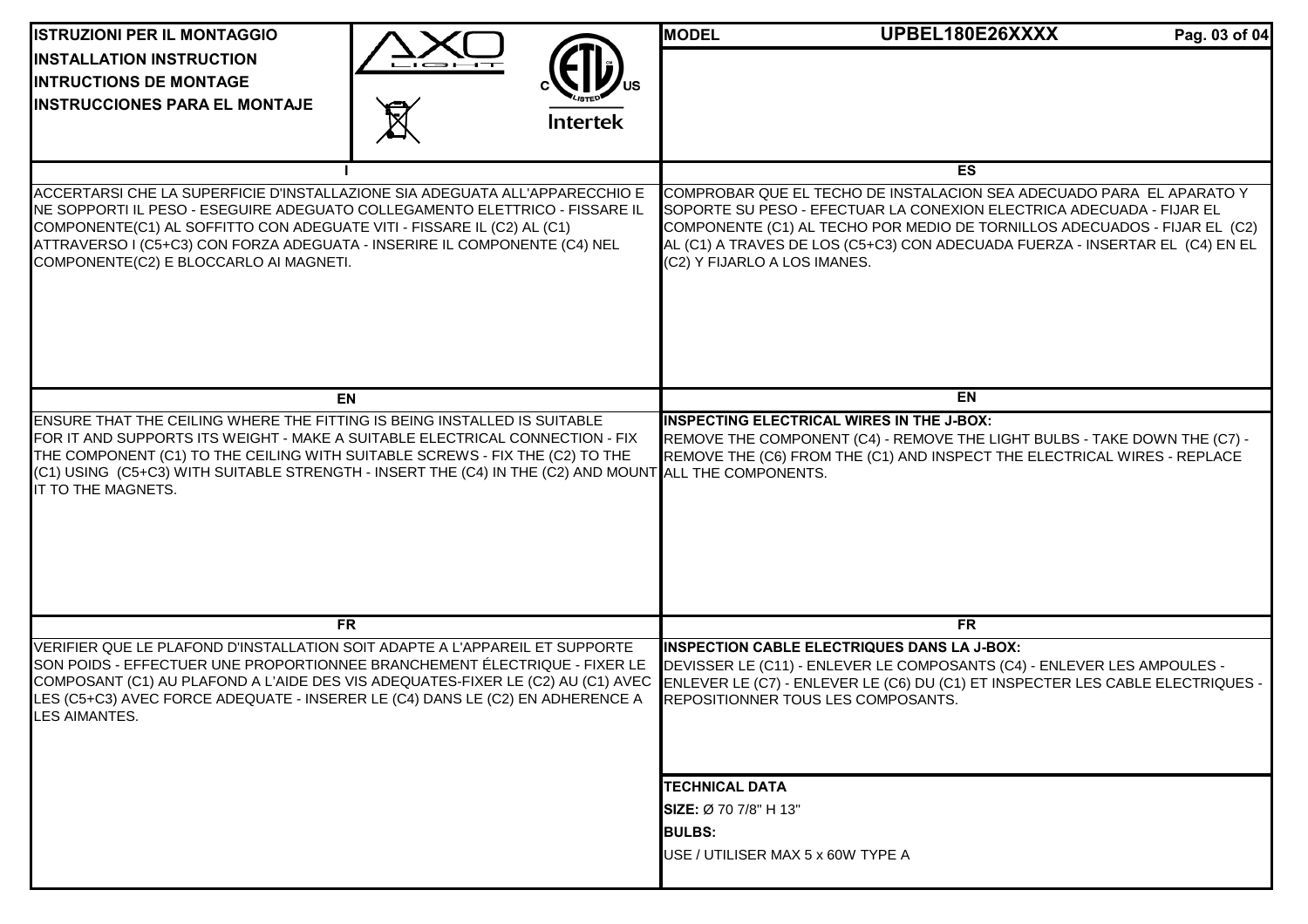| <b>ISTRUZIONI PER IL MONTAGGIO</b>                                                                                                                       |                                            |                 | UPBEL180E26XXXX<br><b>IMODEL</b><br>Pag. 03 of 04                                                                                                                                                                                          |
|----------------------------------------------------------------------------------------------------------------------------------------------------------|--------------------------------------------|-----------------|--------------------------------------------------------------------------------------------------------------------------------------------------------------------------------------------------------------------------------------------|
| <b>IINSTALLATION INSTRUCTION</b>                                                                                                                         | $\Box$ $\Longleftrightarrow$ $\Box$ $\top$ |                 |                                                                                                                                                                                                                                            |
| <b>INTRUCTIONS DE MONTAGE</b>                                                                                                                            |                                            |                 |                                                                                                                                                                                                                                            |
| <b>INSTRUCCIONES PARA EL MONTAJE</b>                                                                                                                     |                                            |                 |                                                                                                                                                                                                                                            |
|                                                                                                                                                          | $\boxtimes$                                | <b>Intertek</b> |                                                                                                                                                                                                                                            |
|                                                                                                                                                          |                                            |                 |                                                                                                                                                                                                                                            |
| ACCERTARSI CHE LA SUPERFICIE D'INSTALLAZIONE SIA ADEGUATA ALL'APPARECCHIO E                                                                              |                                            |                 | ES<br>COMPROBAR QUE EL TECHO DE INSTALACION SEA ADECUADO PARA EL APARATO Y                                                                                                                                                                 |
| NE SOPPORTI IL PESO - ESEGUIRE ADEGUATO COLLEGAMENTO ELETTRICO - FISSARE IL                                                                              |                                            |                 | SOPORTE SU PESO - EFECTUAR LA CONEXION ELECTRICA ADECUADA - FIJAR EL                                                                                                                                                                       |
| COMPONENTE(C1) AL SOFFITTO CON ADEGUATE VITI - FISSARE IL (C2) AL (C1)                                                                                   |                                            |                 | COMPONENTE (C1) AL TECHO POR MEDIO DE TORNILLOS ADECUADOS - FIJAR EL (C2)                                                                                                                                                                  |
| ATTRAVERSO I (C5+C3) CON FORZA ADEGUATA - INSERIRE IL COMPONENTE (C4) NEL<br>COMPONENTE(C2) E BLOCCARLO AI MAGNETI.                                      |                                            |                 | AL (C1) A TRAVES DE LOS (C5+C3) CON ADECUADA FUERZA - INSERTAR EL (C4) EN EL<br>(C2) Y FIJARLO A LOS IMANES.                                                                                                                               |
|                                                                                                                                                          |                                            |                 |                                                                                                                                                                                                                                            |
|                                                                                                                                                          |                                            |                 |                                                                                                                                                                                                                                            |
|                                                                                                                                                          |                                            |                 |                                                                                                                                                                                                                                            |
|                                                                                                                                                          |                                            |                 |                                                                                                                                                                                                                                            |
|                                                                                                                                                          |                                            |                 |                                                                                                                                                                                                                                            |
| <b>EN</b>                                                                                                                                                |                                            |                 | EN                                                                                                                                                                                                                                         |
| ENSURE THAT THE CEILING WHERE THE FITTING IS BEING INSTALLED IS SUITABLE<br>FOR IT AND SUPPORTS ITS WEIGHT - MAKE A SUITABLE ELECTRICAL CONNECTION - FIX |                                            |                 | <b>INSPECTING ELECTRICAL WIRES IN THE J-BOX:</b><br>REMOVE THE COMPONENT (C4) - REMOVE THE LIGHT BULBS - TAKE DOWN THE (C7) -                                                                                                              |
| THE COMPONENT (C1) TO THE CEILING WITH SUITABLE SCREWS - FIX THE (C2) TO THE                                                                             |                                            |                 | REMOVE THE (C6) FROM THE (C1) AND INSPECT THE ELECTRICAL WIRES - REPLACE                                                                                                                                                                   |
| (C1) USING (C5+C3) WITH SUITABLE STRENGTH - INSERT THE (C4) IN THE (C2) AND MOUNT ALL THE COMPONENTS.                                                    |                                            |                 |                                                                                                                                                                                                                                            |
| IT TO THE MAGNETS.                                                                                                                                       |                                            |                 |                                                                                                                                                                                                                                            |
|                                                                                                                                                          |                                            |                 |                                                                                                                                                                                                                                            |
|                                                                                                                                                          |                                            |                 |                                                                                                                                                                                                                                            |
|                                                                                                                                                          |                                            |                 |                                                                                                                                                                                                                                            |
|                                                                                                                                                          |                                            |                 |                                                                                                                                                                                                                                            |
| <b>FR</b>                                                                                                                                                |                                            |                 | FR.                                                                                                                                                                                                                                        |
| VERIFIER QUE LE PLAFOND D'INSTALLATION SOIT ADAPTE A L'APPAREIL ET SUPPORTE                                                                              |                                            |                 | <b>INSPECTION CABLE ELECTRIQUES DANS LA J-BOX:</b>                                                                                                                                                                                         |
| SON POIDS - EFFECTUER UNE PROPORTIONNEE BRANCHEMENT ÉLECTRIQUE - FIXER LE                                                                                |                                            |                 | DEVISSER LE (C11) - ENLEVER LE COMPOSANTS (C4) - ENLEVER LES AMPOULES -<br>COMPOSANT (C1) AU PLAFOND A L'AIDE DES VIS ADEQUATES-FIXER LE (C2) AU (C1) AVEC [ENLEVER LE (C7) - ENLEVER LE (C6) DU (C1) ET INSPECTER LES CABLE ELECTRIQUES - |
| LES (C5+C3) AVEC FORCE ADEQUATE - INSERER LE (C4) DANS LE (C2) EN ADHERENCE A                                                                            |                                            |                 | REPOSITIONNER TOUS LES COMPOSANTS.                                                                                                                                                                                                         |
| LES AIMANTES.                                                                                                                                            |                                            |                 |                                                                                                                                                                                                                                            |
|                                                                                                                                                          |                                            |                 |                                                                                                                                                                                                                                            |
|                                                                                                                                                          |                                            |                 |                                                                                                                                                                                                                                            |
|                                                                                                                                                          |                                            |                 | <b>TECHNICAL DATA</b><br>SIZE: Ø 70 7/8" H 13"                                                                                                                                                                                             |
|                                                                                                                                                          |                                            |                 | <b>BULBS:</b>                                                                                                                                                                                                                              |
|                                                                                                                                                          |                                            |                 | USE / UTILISER MAX 5 x 60W TYPE A                                                                                                                                                                                                          |
|                                                                                                                                                          |                                            |                 |                                                                                                                                                                                                                                            |